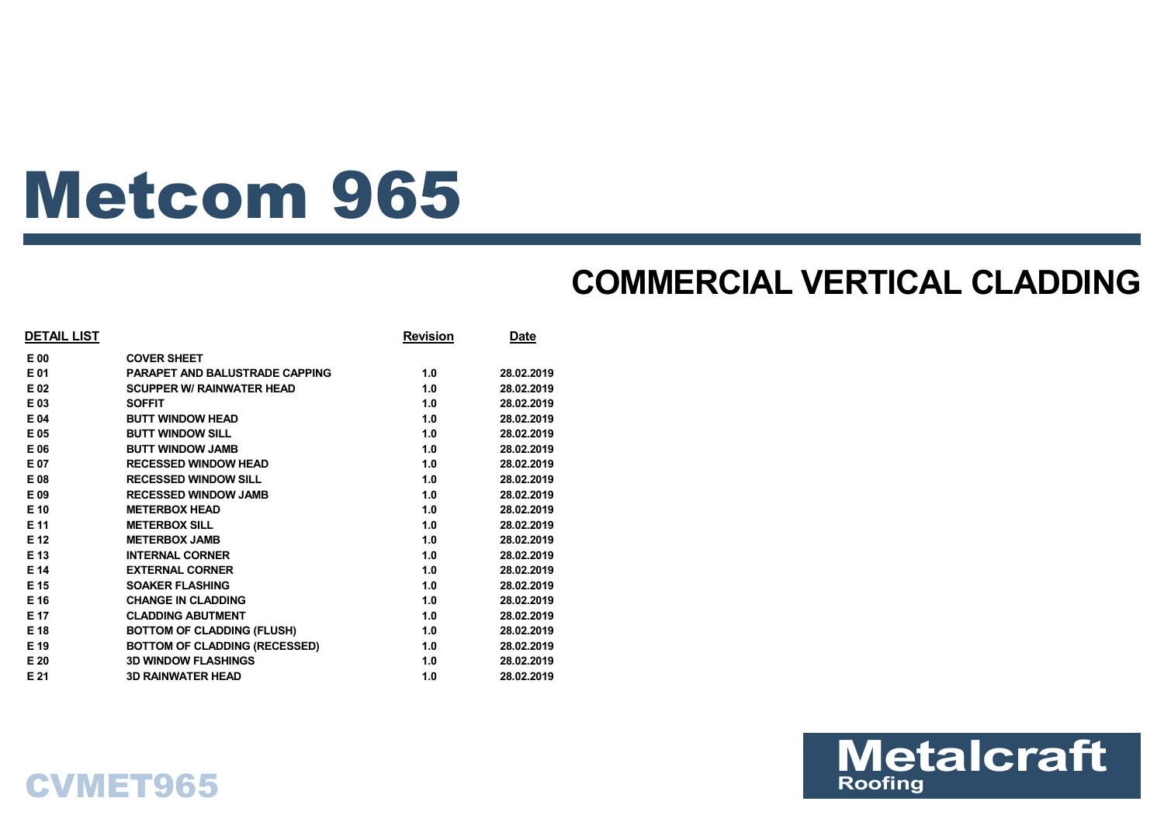# Metcom 965

## **COMMERCIAL VERTICAL CLADDING**

| <b>DETAIL LIST</b> |                                      | <b>Revision</b> | Date       |
|--------------------|--------------------------------------|-----------------|------------|
| E 00               | <b>COVER SHEET</b>                   |                 |            |
| E 01               | PARAPET AND BALUSTRADE CAPPING       | 1.0             | 28.02.2019 |
| E 02               | <b>SCUPPER W/ RAINWATER HEAD</b>     | 1.0             | 28.02.2019 |
| E 03               | <b>SOFFIT</b>                        | 1.0             | 28.02.2019 |
| E 04               | <b>BUTT WINDOW HEAD</b>              | 1.0             | 28.02.2019 |
| E 05               | <b>BUTT WINDOW SILL</b>              | 1.0             | 28.02.2019 |
| E 06               | <b>BUTT WINDOW JAMB</b>              | 1.0             | 28.02.2019 |
| E 07               | <b>RECESSED WINDOW HEAD</b>          | 1.0             | 28.02.2019 |
| E 08               | <b>RECESSED WINDOW SILL</b>          | 1.0             | 28.02.2019 |
| E 09               | <b>RECESSED WINDOW JAMB</b>          | 1.0             | 28.02.2019 |
| E 10               | <b>METERBOX HEAD</b>                 | 1.0             | 28.02.2019 |
| E 11               | <b>METERBOX SILL</b>                 | 1.0             | 28.02.2019 |
| E 12               | <b>METERBOX JAMB</b>                 | 1.0             | 28.02.2019 |
| E 13               | <b>INTERNAL CORNER</b>               | 1.0             | 28.02.2019 |
| E 14               | <b>EXTERNAL CORNER</b>               | 1.0             | 28.02.2019 |
| E 15               | <b>SOAKER FLASHING</b>               | 1.0             | 28.02.2019 |
| E 16               | <b>CHANGE IN CLADDING</b>            | 1.0             | 28.02.2019 |
| E 17               | <b>CLADDING ABUTMENT</b>             | 1.0             | 28.02.2019 |
| E 18               | <b>BOTTOM OF CLADDING (FLUSH)</b>    | 1.0             | 28.02.2019 |
| E 19               | <b>BOTTOM OF CLADDING (RECESSED)</b> | 1.0             | 28.02.2019 |
| E 20               | <b>3D WINDOW FLASHINGS</b>           | 1.0             | 28.02.2019 |
| E 21               | <b>3D RAINWATER HEAD</b>             | 1.0             | 28.02.2019 |



## CVMET965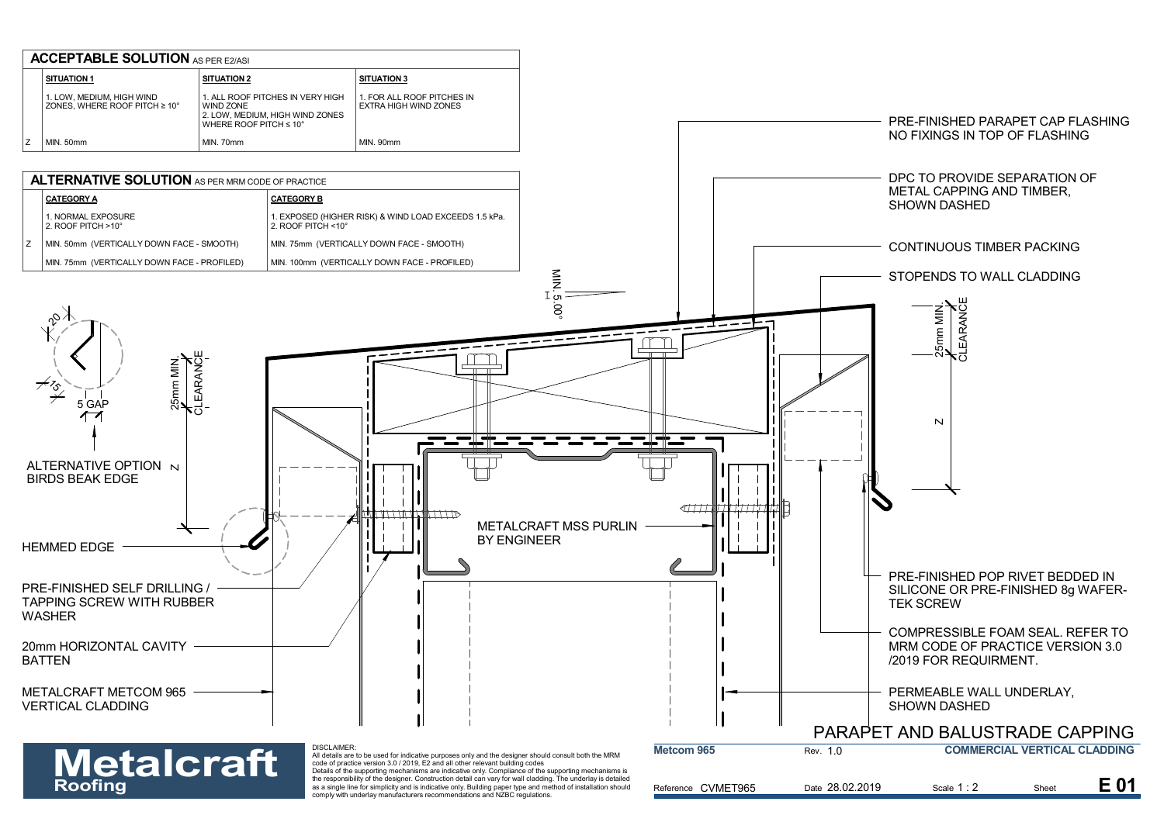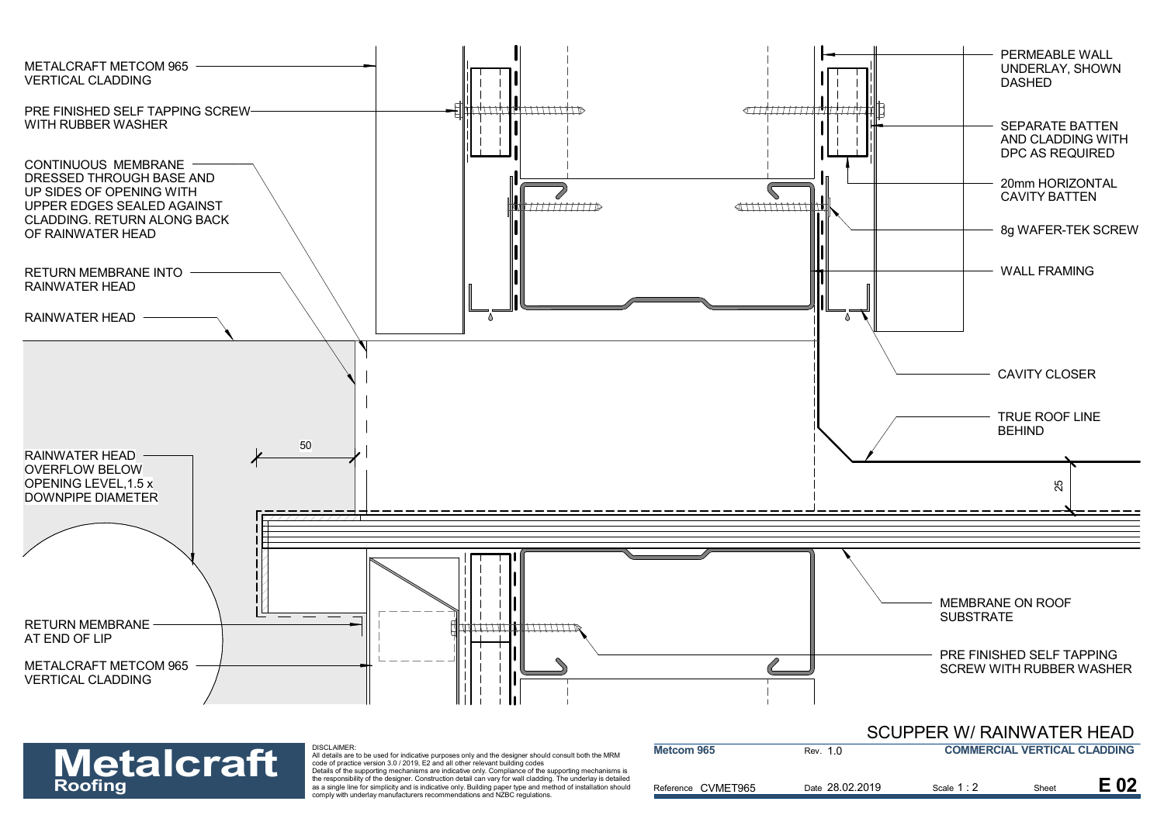

Reference CVMET965 **Roofing** Controller of the responsibility of the designer. Construction detail can vary for wall cladding. The underlay is detailed<br>as a single line for simplicity and is indicative only. Building paper type and method of Rev. 1.0 Scale 1 : 2 Date 28.02.2019 **E 02** Scale 1:2 **E 02 Metcom 965 COMMERCIAL VERTICAL CLADDING**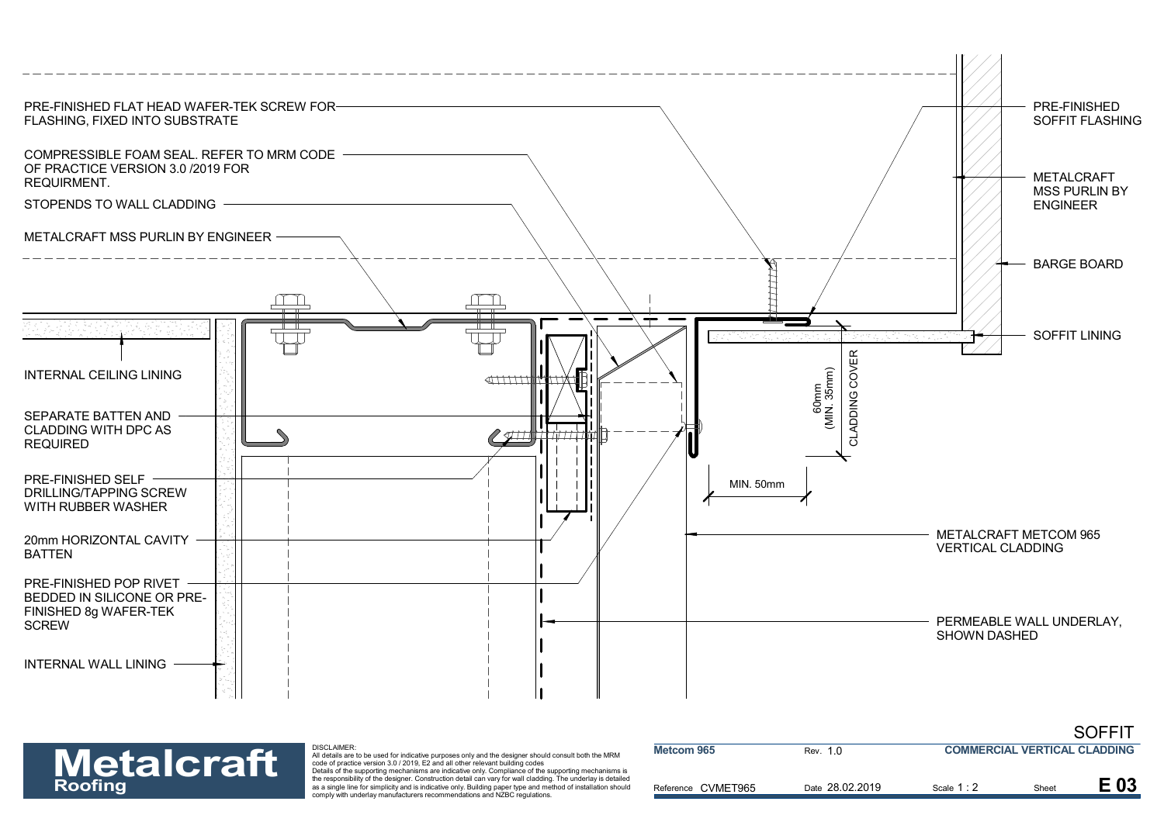



| <b>Metalcraft</b> | DISCLAIMER:<br>All details are to be used for indicative purposes only and the designer should consult both the MRM<br>code of practice version 3.0 / 2019. E2 and all other relevant building codes<br>Details of the supporting mechanisms are indicative only. Compliance of the supporting mechanisms is | Metcom 965         | Rev. 1.0        | <b>COMMERCIAL VERTICAL CLADDING</b> |       |      |
|-------------------|--------------------------------------------------------------------------------------------------------------------------------------------------------------------------------------------------------------------------------------------------------------------------------------------------------------|--------------------|-----------------|-------------------------------------|-------|------|
| <b>Roofing</b>    | the responsibility of the designer. Construction detail can vary for wall cladding. The underlay is detailed<br>as a single line for simplicity and is indicative only. Building paper type and method of installation should<br>comply with underlay manufacturers recommendations and NZBC regulations.    | Reference CVMET965 | Date 28.02.2019 | Scale 1:                            | Sheet | E 03 |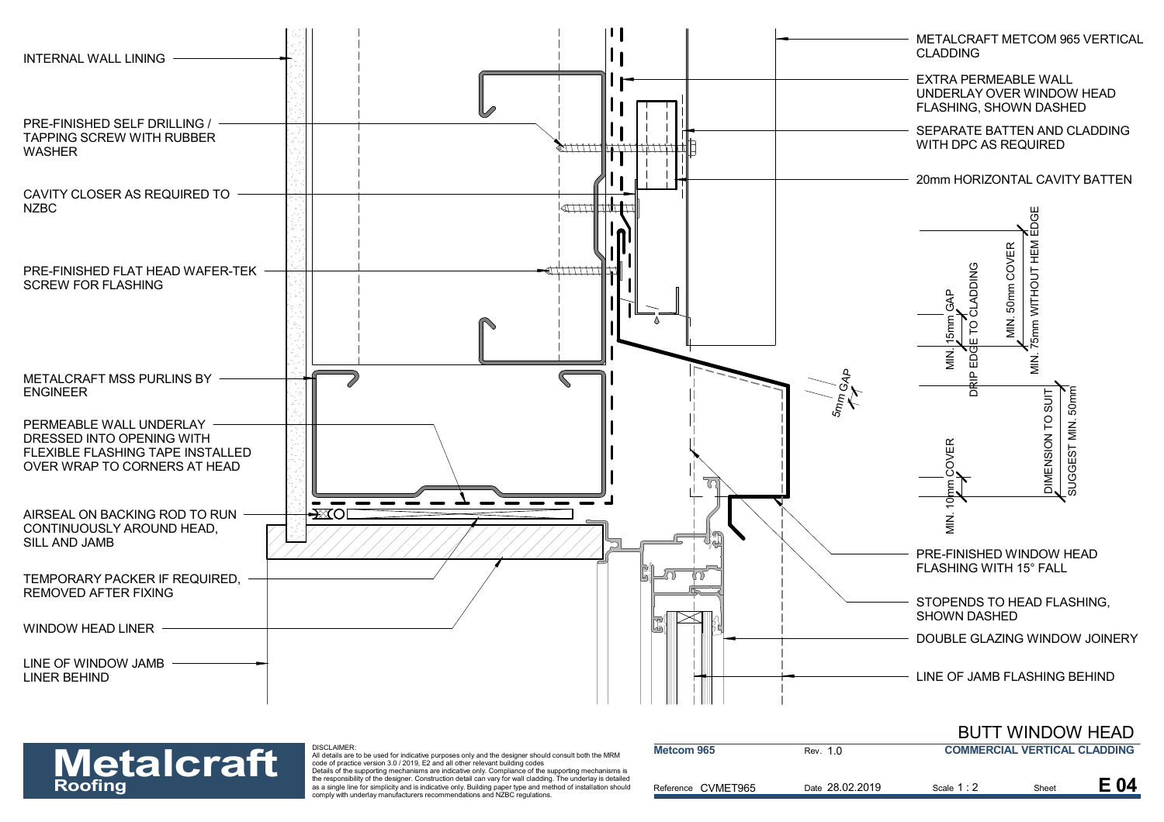

### DISCLAIMER:

| <b>Metalcraft</b> | DISCLAIMER:<br>All details are to be used for indicative purposes only and the designer should consult both the MRM<br>code of practice version 3.0 / 2019, E2 and all other relevant building codes<br>Details of the supporting mechanisms are indicative only. Compliance of the supporting mechanisms is | Metcom 965         | Rev. 1.0        | <b>COMMERCIAL VERTICAL CLADDING</b> |       |      |
|-------------------|--------------------------------------------------------------------------------------------------------------------------------------------------------------------------------------------------------------------------------------------------------------------------------------------------------------|--------------------|-----------------|-------------------------------------|-------|------|
| <b>Roofing</b>    | the responsibility of the designer. Construction detail can vary for wall cladding. The underlay is detailed<br>as a single line for simplicity and is indicative only. Building paper type and method of installation should<br>comply with underlay manufacturers recommendations and NZBC regulations.    | Reference CVMET965 | Date 28.02.2019 | Scale 1:2                           | Sheet | E 04 |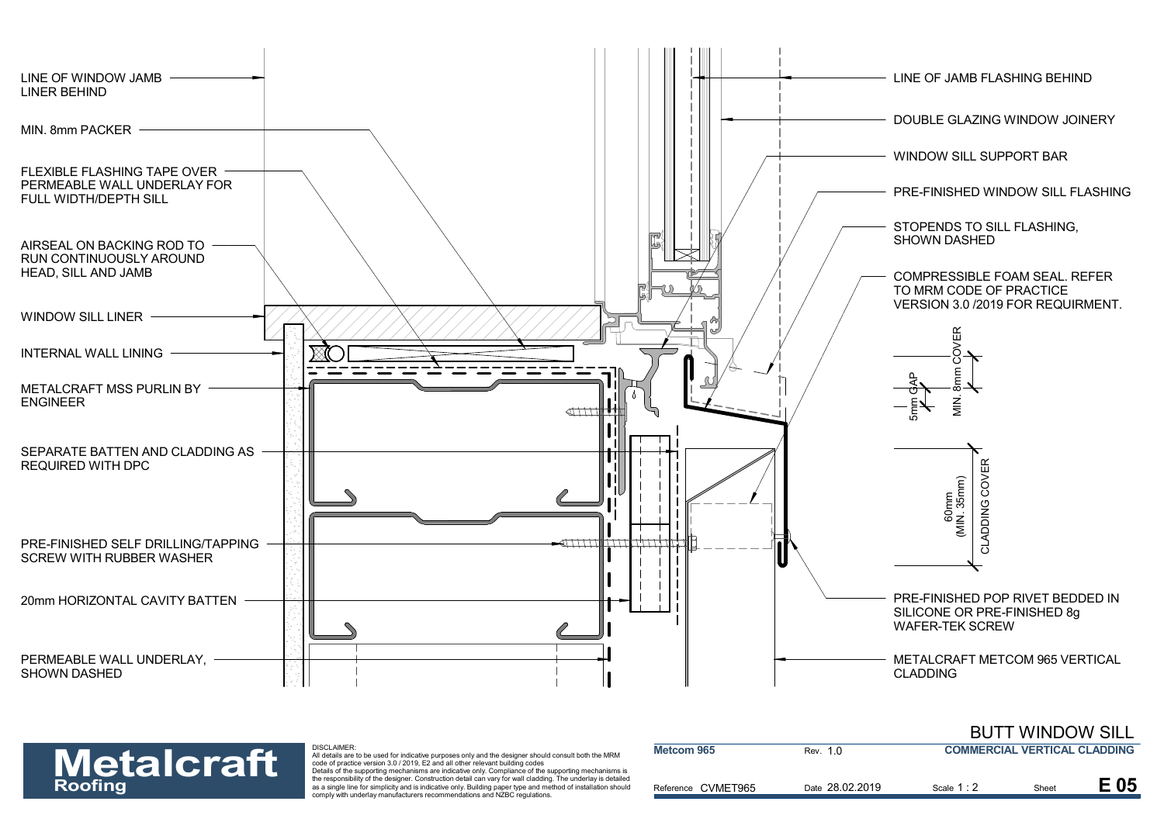



| <b>Metalcraft</b><br><b>Roofing</b> | DISCLAIMER:<br>All details are to be used for indicative purposes only and the designer should consult both the MRM<br>code of practice version 3.0 / 2019. E2 and all other relevant building codes<br>Details of the supporting mechanisms are indicative only. Compliance of the supporting mechanisms is | Metcom 965         | Rev. 1.0        | <b>COMMERCIAL VERTICAL CLADDING</b> |       |      |
|-------------------------------------|--------------------------------------------------------------------------------------------------------------------------------------------------------------------------------------------------------------------------------------------------------------------------------------------------------------|--------------------|-----------------|-------------------------------------|-------|------|
|                                     | the responsibility of the designer. Construction detail can vary for wall cladding. The underlay is detailed<br>as a single line for simplicity and is indicative only. Building paper type and method of installation should<br>comply with underlay manufacturers recommendations and NZBC regulations.    | Reference CVMET965 | Date 28.02.2019 | Scale 1:2                           | Sheet | E 05 |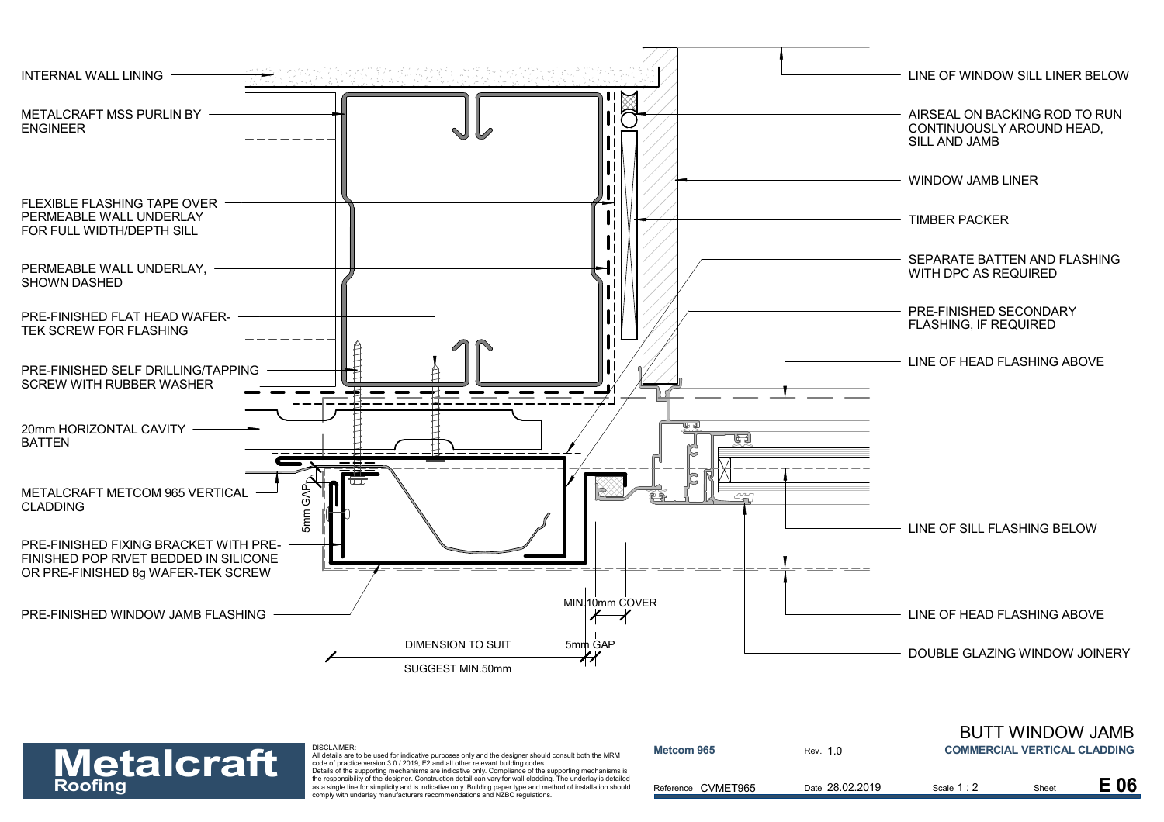



### DISCLAIMER:

| <b>Metalcraft</b> | DISCLAIMER:<br>All details are to be used for indicative purposes only and the designer should consult both the MRM<br>code of practice version 3.0 / 2019. E2 and all other relevant building codes                                                                                                                                                                                                              | Metcom 965         | Rev. 1 0        | <b>COMMERCIAL VERTICAL CLADDING</b> |       |      |
|-------------------|-------------------------------------------------------------------------------------------------------------------------------------------------------------------------------------------------------------------------------------------------------------------------------------------------------------------------------------------------------------------------------------------------------------------|--------------------|-----------------|-------------------------------------|-------|------|
| <b>Roofing</b>    | Details of the supporting mechanisms are indicative only. Compliance of the supporting mechanisms is<br>the responsibility of the designer. Construction detail can vary for wall cladding. The underlay is detailed<br>as a single line for simplicity and is indicative only. Building paper type and method of installation should<br>comply with underlay manufacturers recommendations and NZBC regulations. | Reference CVMET965 | Date 28.02.2019 | Scale 1:2                           | Sheet | E 06 |

BUTT WINDOW JAMB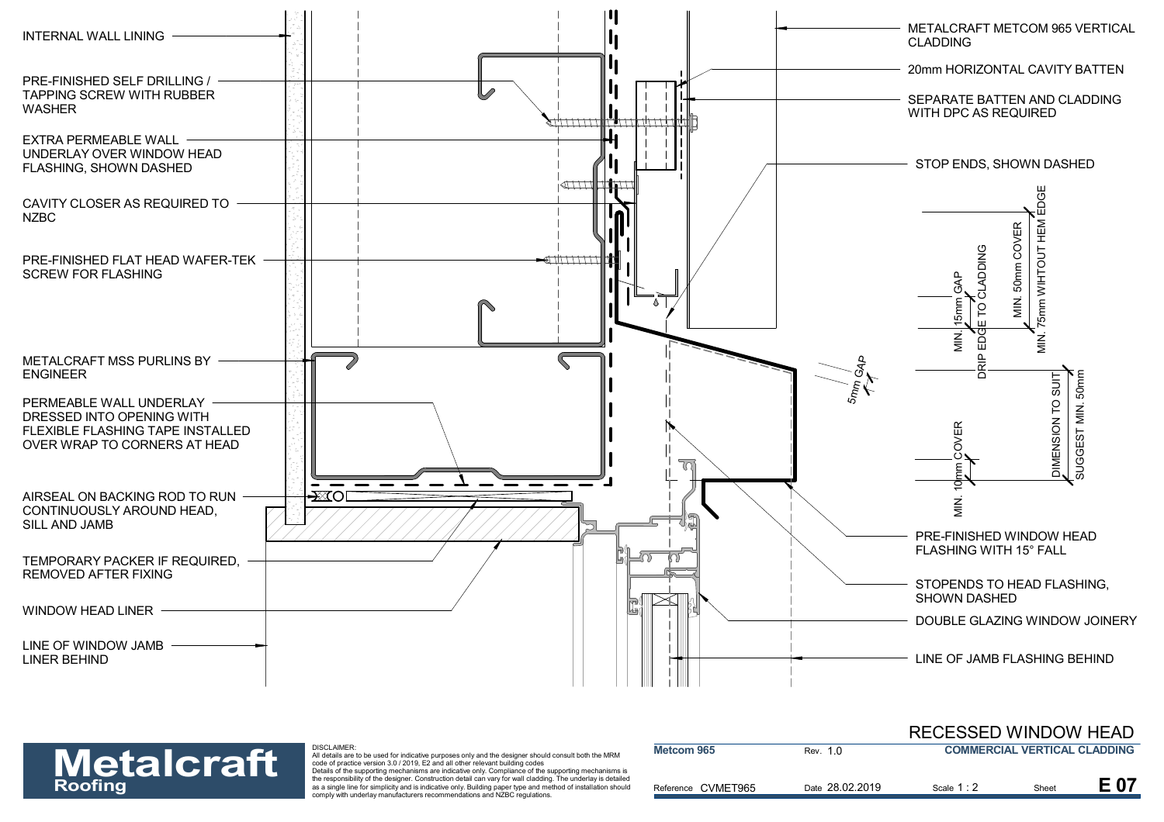

### DISCLAIMER:

| <b>Metalcraft</b> | DISCLAIMER:<br>All details are to be used for indicative purposes only and the designer should consult both the MRM<br>code of practice version 3.0 / 2019. E2 and all other relevant building codes                                                                                                                                                                                                              | Metcom 965         | Rev. 1 0        | <b>COMMERCIAL VERTICAL CLADDING</b> |       |  |
|-------------------|-------------------------------------------------------------------------------------------------------------------------------------------------------------------------------------------------------------------------------------------------------------------------------------------------------------------------------------------------------------------------------------------------------------------|--------------------|-----------------|-------------------------------------|-------|--|
| <b>Roofing</b>    | Details of the supporting mechanisms are indicative only. Compliance of the supporting mechanisms is<br>the responsibility of the designer. Construction detail can vary for wall cladding. The underlay is detailed<br>as a single line for simplicity and is indicative only. Building paper type and method of installation should<br>comply with underlay manufacturers recommendations and NZBC regulations. | Reference CVMET965 | Date 28.02.2019 | Scale 1 : 2                         | Sheet |  |

RECESSED WINDOW HEAD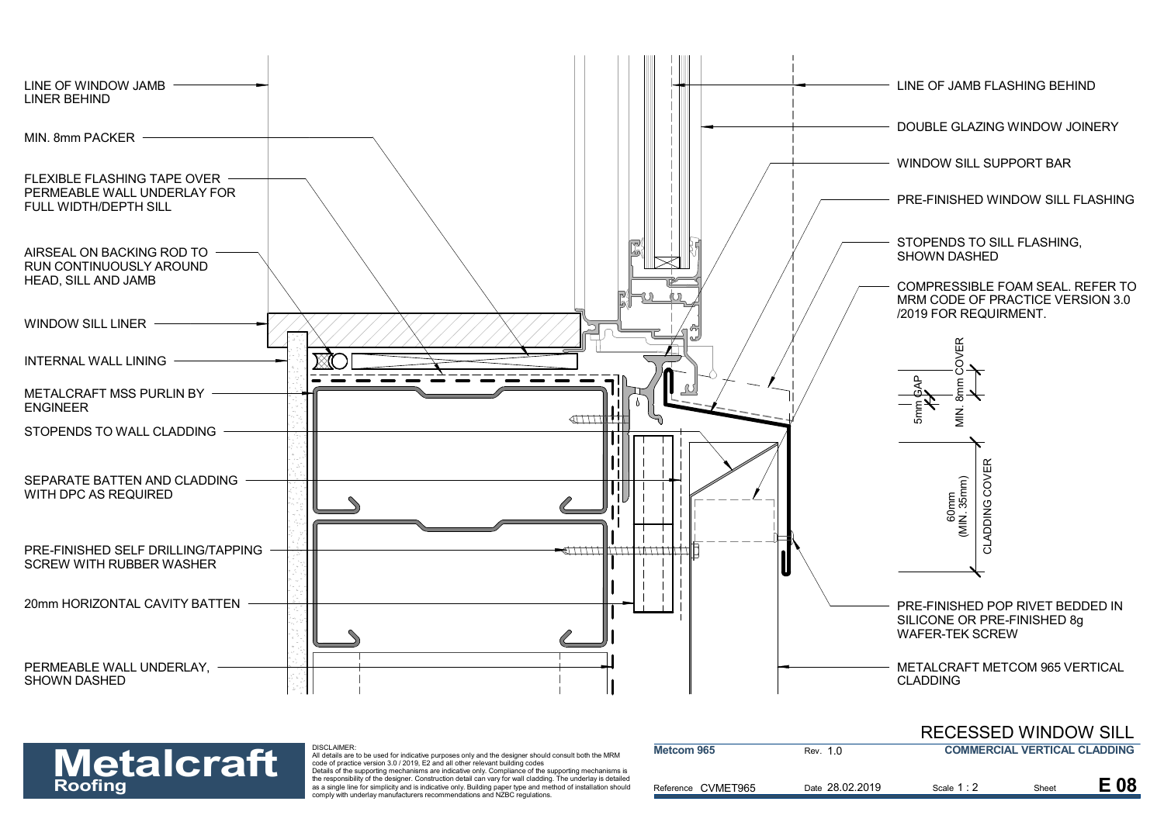



| <b>Metalcraft</b> | DISCLAIMER:<br>All details are to be used for indicative purposes only and the designer should consult both the MRM<br>code of practice version 3.0 / 2019, E2 and all other relevant building codes<br>Details of the supporting mechanisms are indicative only. Compliance of the supporting mechanisms is | Metcom 965         | Rev. 1.0        | <b>COMMERCIAL VERTICAL CLADDING</b> |       |     |
|-------------------|--------------------------------------------------------------------------------------------------------------------------------------------------------------------------------------------------------------------------------------------------------------------------------------------------------------|--------------------|-----------------|-------------------------------------|-------|-----|
| <b>Roofing</b>    | the responsibility of the designer. Construction detail can vary for wall cladding. The underlay is detailed<br>as a single line for simplicity and is indicative only. Building paper type and method of installation should<br>comply with underlay manufacturers recommendations and NZBC regulations.    | Reference CVMET965 | Date 28.02.2019 | Scale 1:2                           | Sheet | E08 |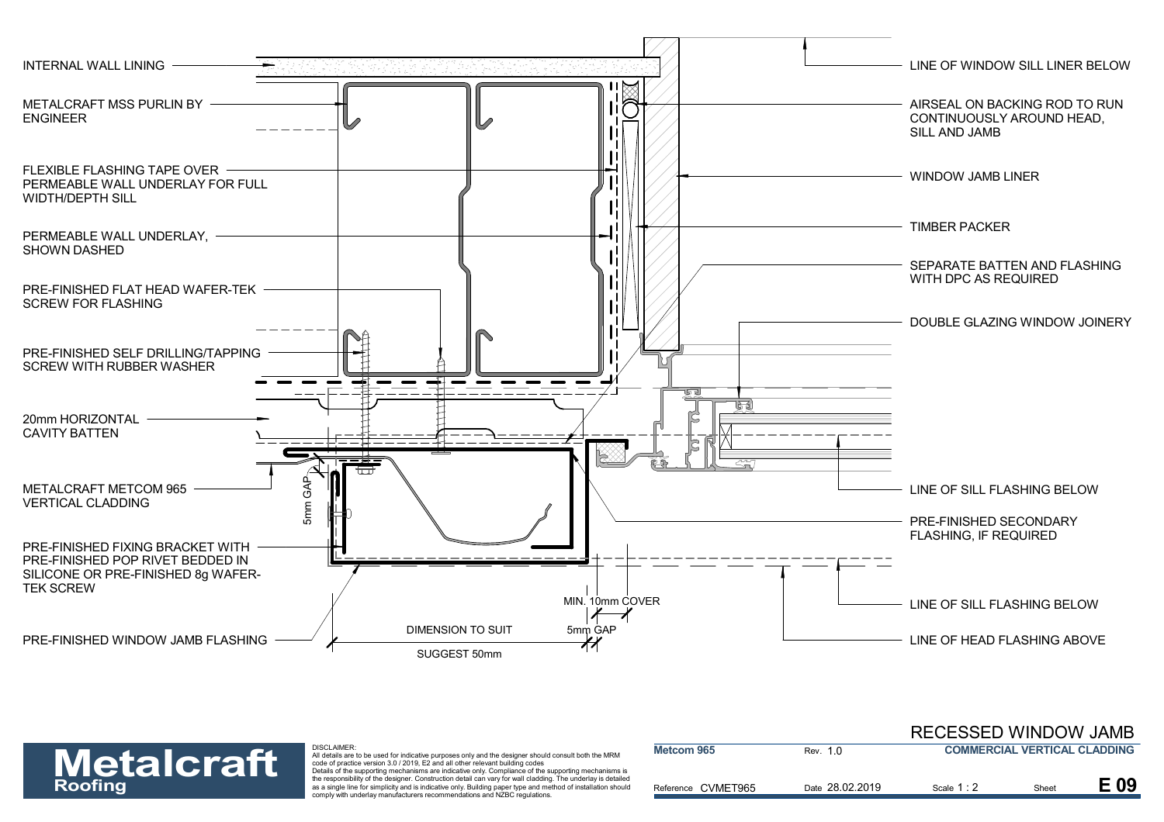

| <b>Metalcraft</b> | <b>DISCLAIMER:</b><br>All details are to be used for indicative purposes only and the designer should consult both the MRM<br>code of practice version 3.0 / 2019. E2 and all other relevant building codes<br>Details of the supporting mechanisms are indicative only. Compliance of the supporting mechanisms is | Metcom 965         | Rev. 1.0        | <b>COMMERCIAL VERTICAL CLADDING</b> |       |      |
|-------------------|---------------------------------------------------------------------------------------------------------------------------------------------------------------------------------------------------------------------------------------------------------------------------------------------------------------------|--------------------|-----------------|-------------------------------------|-------|------|
| <b>Roofing</b>    | the responsibility of the designer. Construction detail can vary for wall cladding. The underlay is detailed<br>as a single line for simplicity and is indicative only. Building paper type and method of installation should<br>comply with underlay manufacturers recommendations and NZBC regulations.           | Reference CVMET965 | Date 28.02.2019 | Scale 1:2                           | Sheet | E 09 |

RECESSED WINDOW JAMB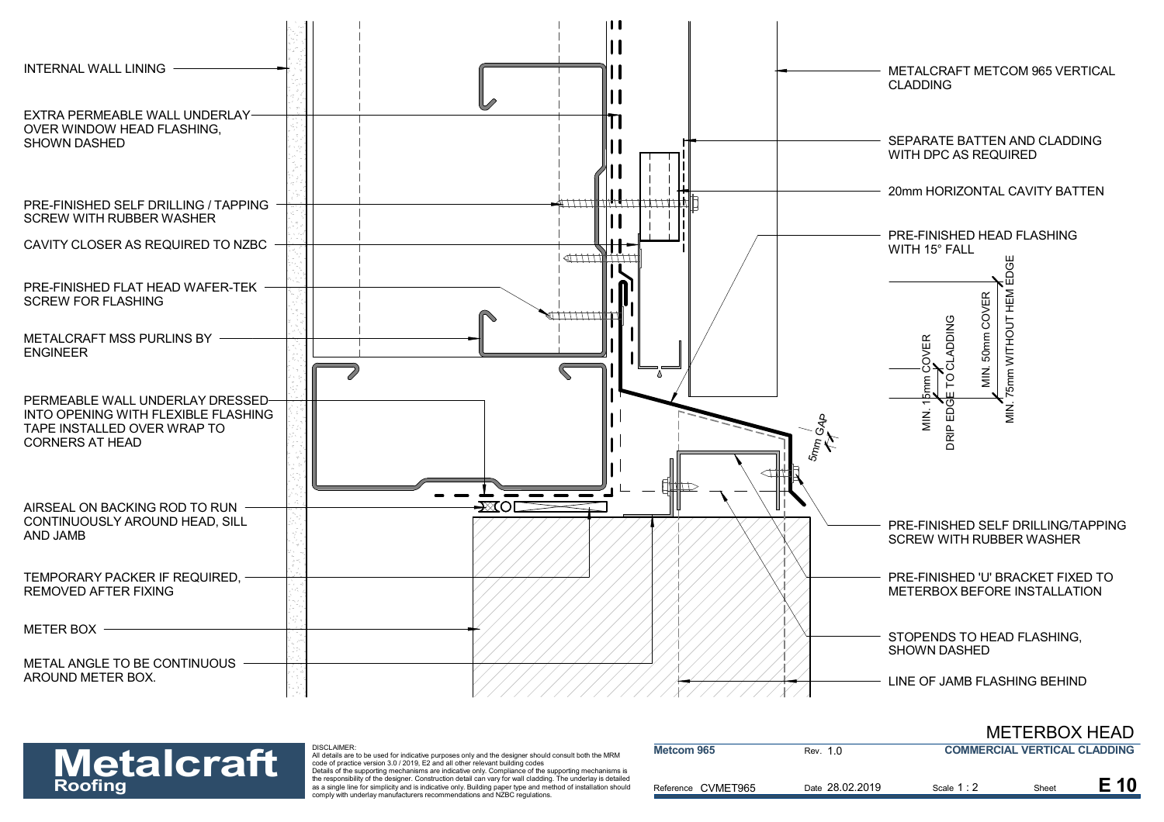



| <b>Metalcraft</b> | DISCLAIMER:<br>All details are to be used for indicative purposes only and the designer should consult both the MRM<br>code of practice version 3.0 / 2019. E2 and all other relevant building codes<br>Details of the supporting mechanisms are indicative only. Compliance of the supporting mechanisms is | Metcom 965         | Rev. 1.0        | <b>COMMERCIAL VERTICAL CLADDING</b> |       |      |
|-------------------|--------------------------------------------------------------------------------------------------------------------------------------------------------------------------------------------------------------------------------------------------------------------------------------------------------------|--------------------|-----------------|-------------------------------------|-------|------|
| <b>Roofing</b>    | the responsibility of the designer. Construction detail can vary for wall cladding. The underlay is detailed<br>as a single line for simplicity and is indicative only. Building paper type and method of installation should<br>comply with underlay manufacturers recommendations and NZBC regulations.    | Reference CVMET965 | Date 28.02.2019 | Scale 1:                            | Sheet | E 10 |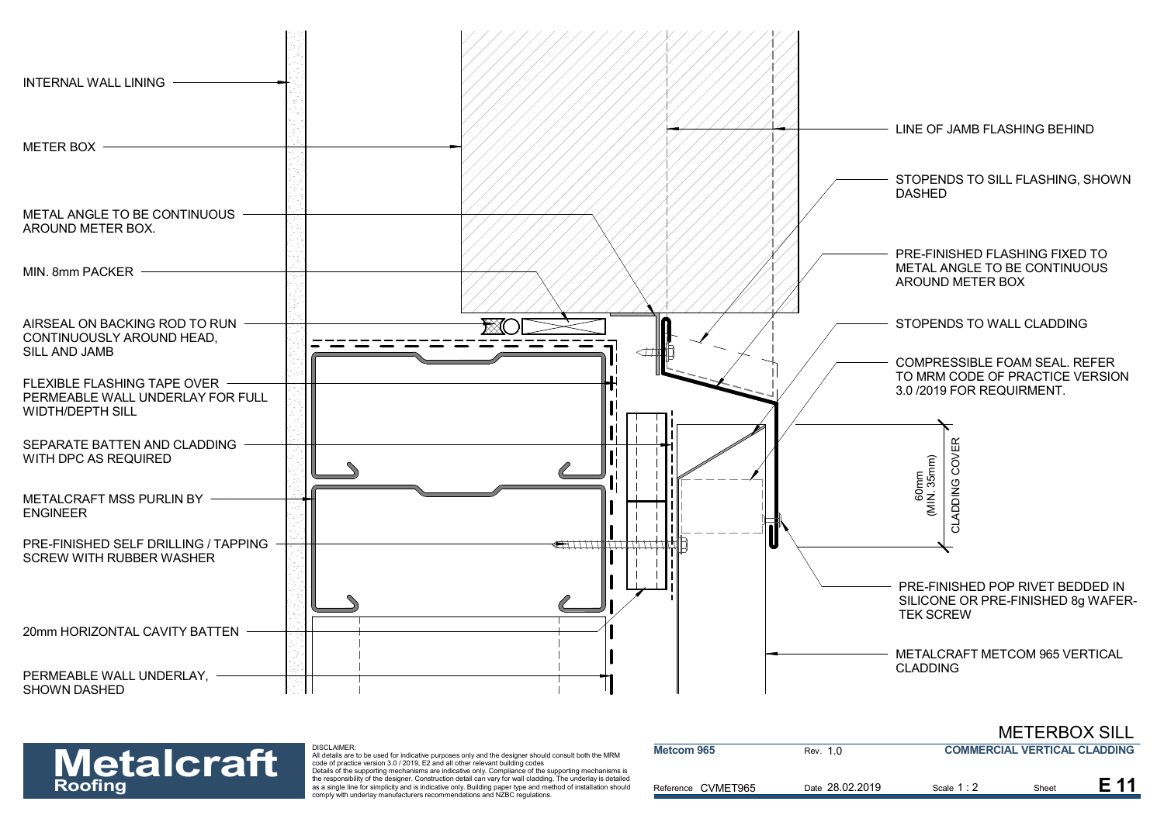



| <b>Metalcraft</b><br><b>Roofing</b> | <b>DISCLAIMER:</b><br>All details are to be used for indicative purposes only and the designer should consult both the MRM<br>code of practice version 3.0 / 2019. E2 and all other relevant building codes<br>Details of the supporting mechanisms are indicative only. Compliance of the supporting mechanisms is | Metcom 965         | Rev. 1.0        | <b>COMMERCIAL VERTICAL CLADDING</b> |       |  |
|-------------------------------------|---------------------------------------------------------------------------------------------------------------------------------------------------------------------------------------------------------------------------------------------------------------------------------------------------------------------|--------------------|-----------------|-------------------------------------|-------|--|
|                                     | the responsibility of the designer. Construction detail can vary for wall cladding. The underlay is detailed<br>as a single line for simplicity and is indicative only. Building paper type and method of installation should<br>comply with underlay manufacturers recommendations and NZBC regulations.           | Reference CVMET965 | Date 28.02.2019 | Scale 1:2                           | Sheet |  |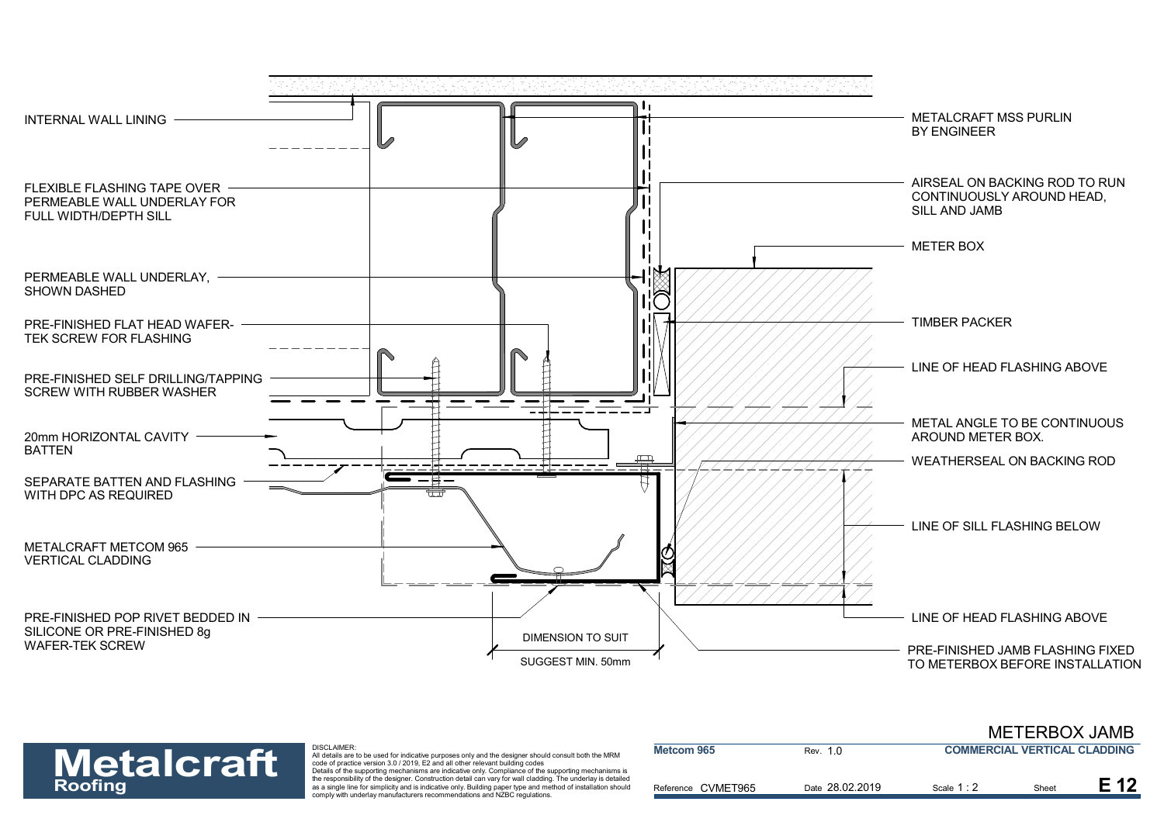



## DISCLAIMER:

| <b>Metalcraft</b> | <b>DISCLAIMER:</b><br>All details are to be used for indicative purposes only and the designer should consult both the MRM<br>code of practice version 3.0 / 2019, E2 and all other relevant building codes<br>Details of the supporting mechanisms are indicative only. Compliance of the supporting mechanisms is | Metcom 965         | Rev. 1.0        | <b>COMMERCIAL VERTICAL CLADDING</b> |       |  |
|-------------------|---------------------------------------------------------------------------------------------------------------------------------------------------------------------------------------------------------------------------------------------------------------------------------------------------------------------|--------------------|-----------------|-------------------------------------|-------|--|
| <b>Roofing</b>    | the responsibility of the designer. Construction detail can vary for wall cladding. The underlay is detailed<br>as a single line for simplicity and is indicative only. Building paper type and method of installation should<br>comply with underlay manufacturers recommendations and NZBC regulations.           | Reference CVMET965 | Date 28.02.2019 | Scale 1 : 2                         | Sheet |  |

METERBOX JAMB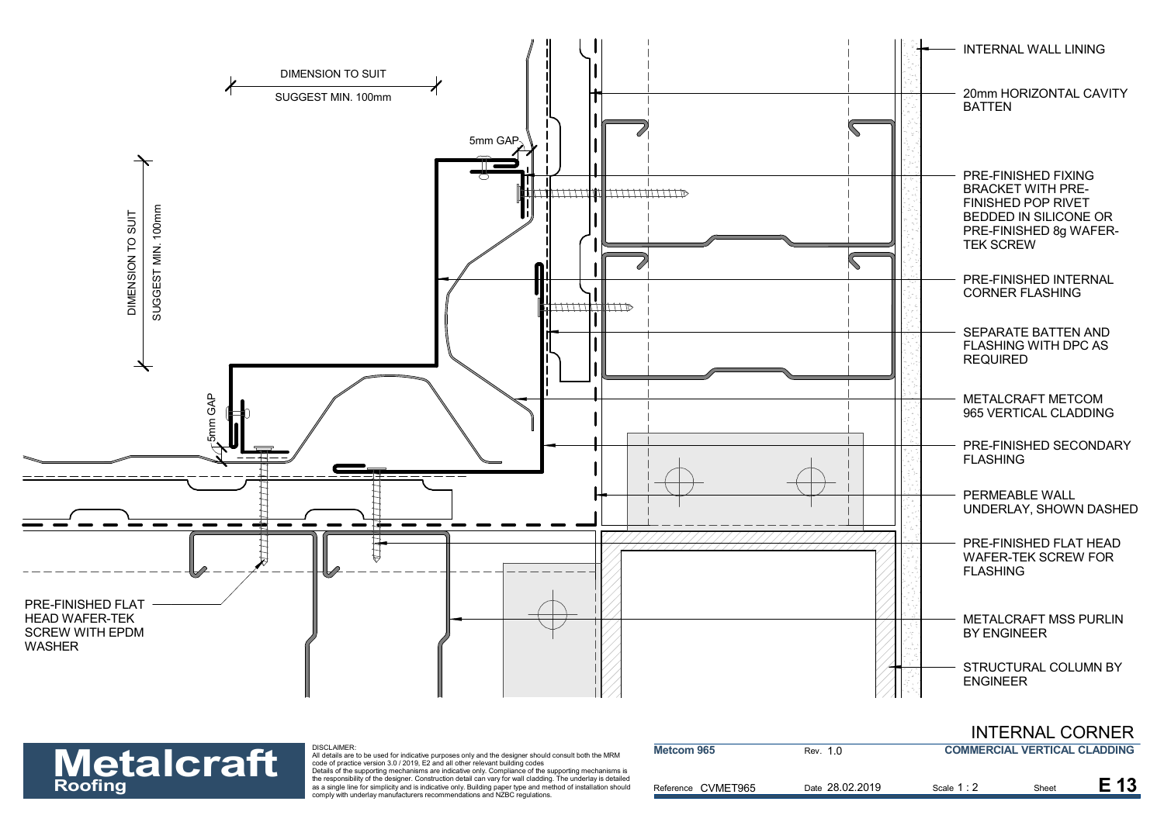

| <b>Metalcraft</b> | DISCLAIMER:<br>All details are to be used for indicative purposes only and the designer should consult both the MRM<br>code of practice version 3.0 / 2019. E2 and all other relevant building codes                                                                                                                                                                                                              | Metcom 965         | Rev. 1 0        | <b>COMMERCIAL VERTICAL CLADDING</b> |       |  |
|-------------------|-------------------------------------------------------------------------------------------------------------------------------------------------------------------------------------------------------------------------------------------------------------------------------------------------------------------------------------------------------------------------------------------------------------------|--------------------|-----------------|-------------------------------------|-------|--|
| <b>Roofing</b>    | Details of the supporting mechanisms are indicative only. Compliance of the supporting mechanisms is<br>the responsibility of the designer. Construction detail can vary for wall cladding. The underlay is detailed<br>as a single line for simplicity and is indicative only. Building paper type and method of installation should<br>comply with underlay manufacturers recommendations and NZBC regulations. | Reference CVMET965 | Date 28.02.2019 | Scale 1:2                           | Sheet |  |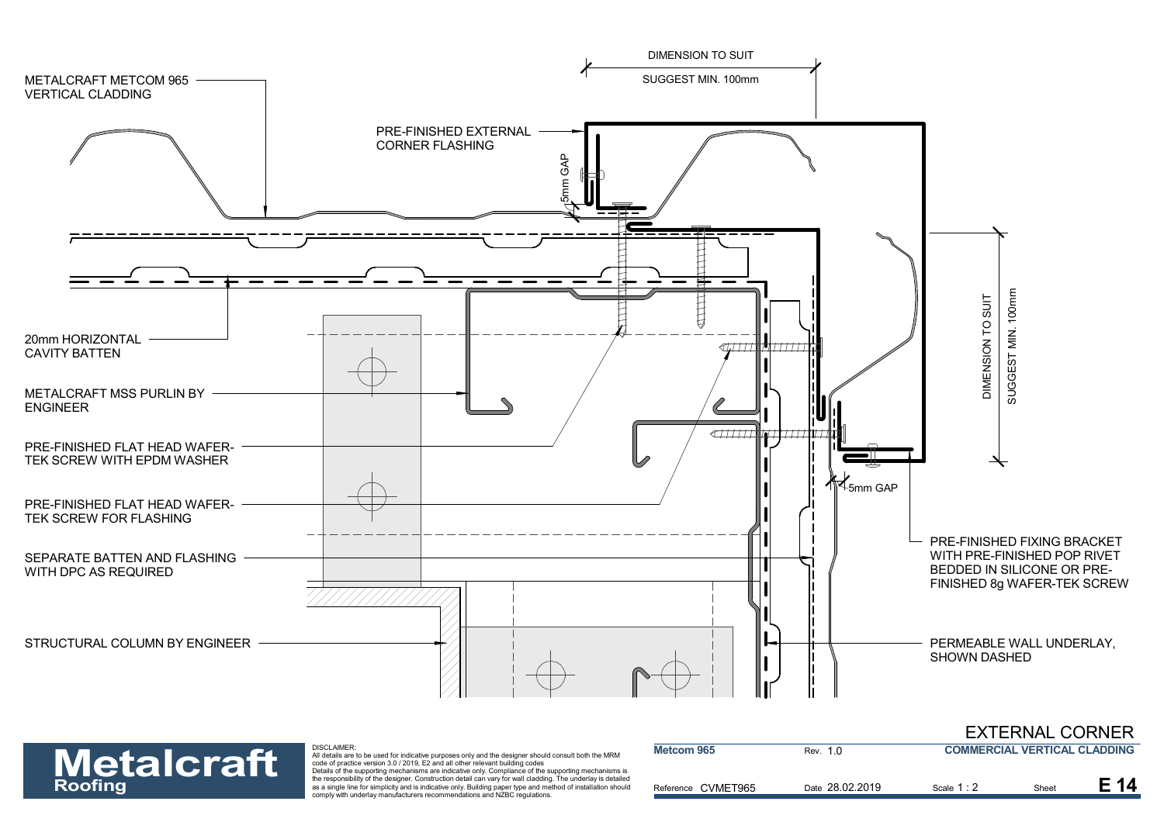



| <b>Metalcraft</b> | <b>DISCLAIMER:</b><br>All details are to be used for indicative purposes only and the designer should consult both the MRM<br>code of practice version 3.0 / 2019. E2 and all other relevant building codes                                                                                                                                                                                                       | Metcom 965         | Rev. 1.0        | <b>COMMERCIAL VERTICAL CLADDING</b> |      |  |
|-------------------|-------------------------------------------------------------------------------------------------------------------------------------------------------------------------------------------------------------------------------------------------------------------------------------------------------------------------------------------------------------------------------------------------------------------|--------------------|-----------------|-------------------------------------|------|--|
| <b>Roofing</b>    | Details of the supporting mechanisms are indicative only. Compliance of the supporting mechanisms is<br>the responsibility of the designer. Construction detail can vary for wall cladding. The underlay is detailed<br>as a single line for simplicity and is indicative only. Building paper type and method of installation should<br>comply with underlay manufacturers recommendations and NZBC regulations. | Reference CVMET965 | Date 28.02.2019 | Scale 1:2                           | Shee |  |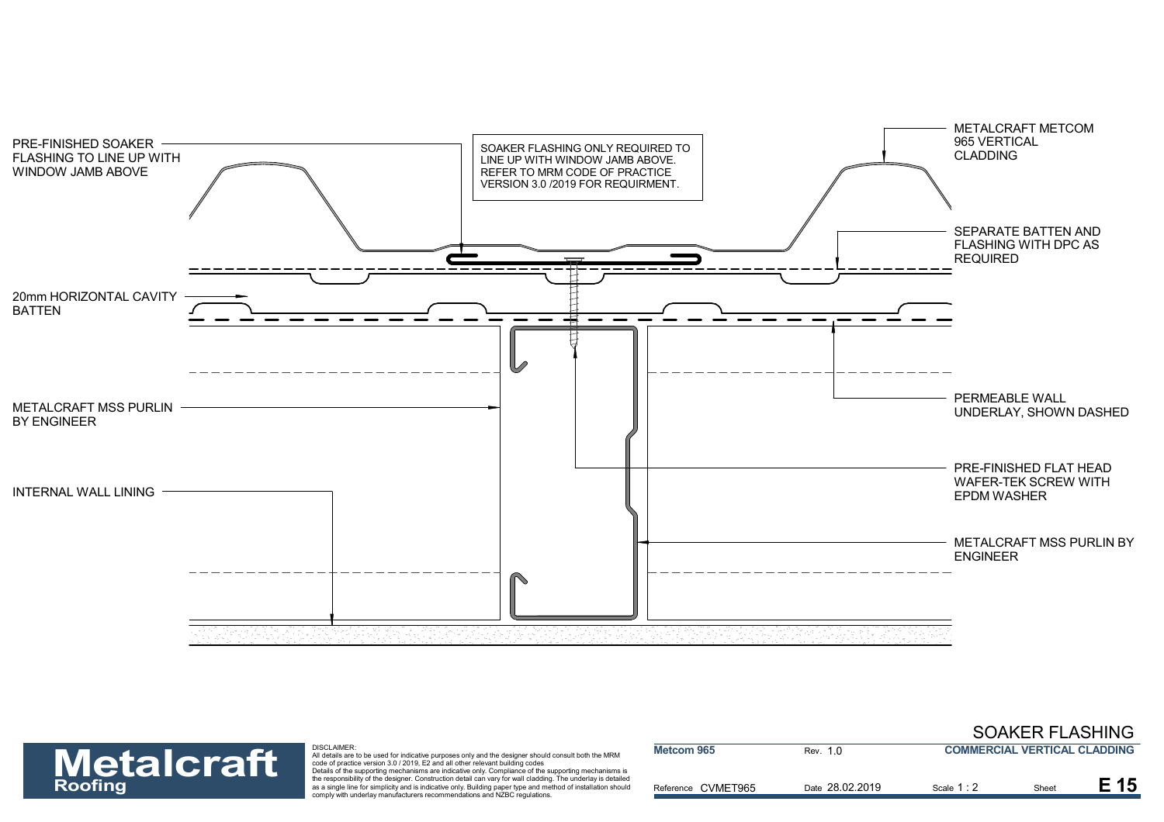



| <b>Metalcraft</b> | DISCLAIMER:<br>All details are to be used for indicative purposes only and the designer should consult both the MRM<br>code of practice version 3.0 / 2019. E2 and all other relevant building codes<br>Details of the supporting mechanisms are indicative only. Compliance of the supporting mechanisms is | Metcom 965         | Rev. 1.0        | <b>COMMERCIAL VERTICAL CLADDING</b> |       |      |
|-------------------|--------------------------------------------------------------------------------------------------------------------------------------------------------------------------------------------------------------------------------------------------------------------------------------------------------------|--------------------|-----------------|-------------------------------------|-------|------|
| <b>Roofing</b>    | the responsibility of the designer. Construction detail can vary for wall cladding. The underlay is detailed<br>as a single line for simplicity and is indicative only. Building paper type and method of installation should<br>comply with underlay manufacturers recommendations and NZBC regulations.    | Reference CVMET965 | Date 28.02.2019 | Scale 1:                            | Sheet | E 15 |

SOAKER FLASHING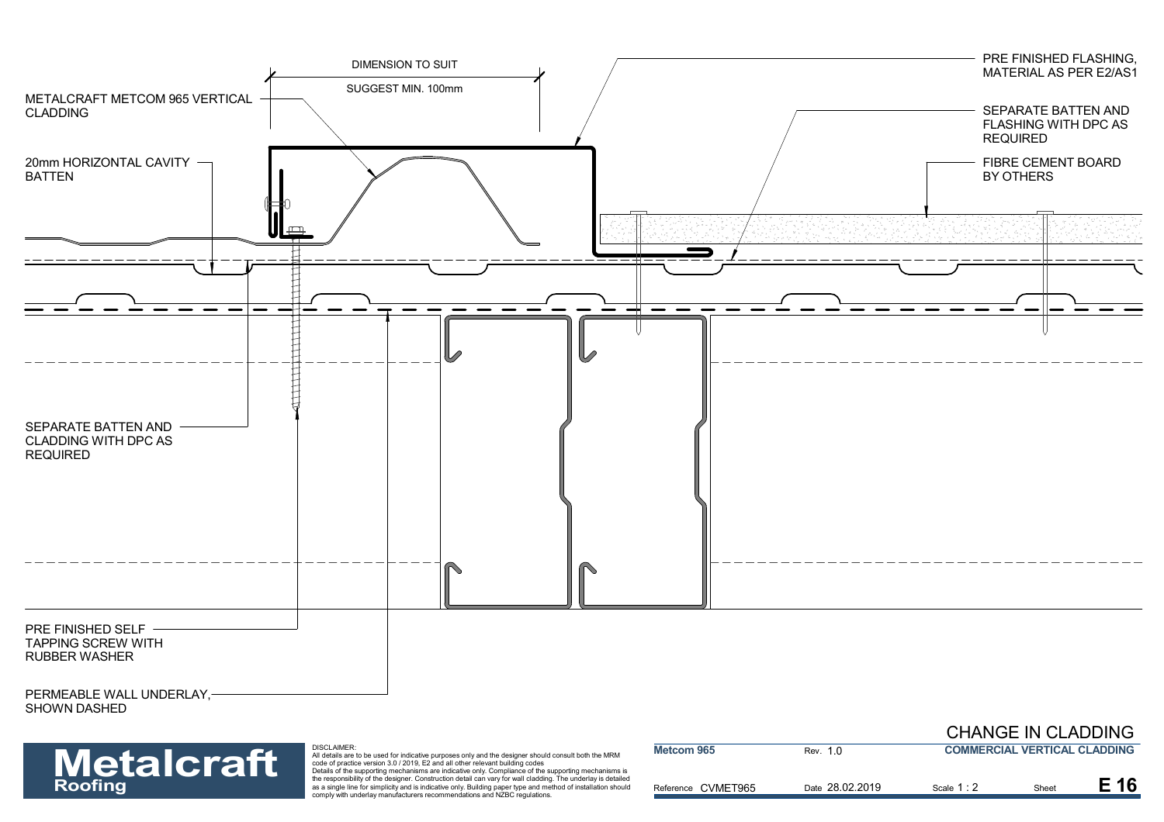

| <b>Metalcraft</b> | <b>DISCLAIMER:</b><br>All details are to be used for indicative purposes only and the designer should consult both the MRM<br>code of practice version 3.0 / 2019. E2 and all other relevant building codes<br>Details of the supporting mechanisms are indicative only. Compliance of the supporting mechanisms is | <b>Metcom 965</b>  | Rev. 1.0        | <b>COMMERCIAL VERTICAL CLADDING</b> |      |      |
|-------------------|---------------------------------------------------------------------------------------------------------------------------------------------------------------------------------------------------------------------------------------------------------------------------------------------------------------------|--------------------|-----------------|-------------------------------------|------|------|
| <b>Roofing</b>    | the responsibility of the designer. Construction detail can vary for wall cladding. The underlay is detailed<br>as a single line for simplicity and is indicative only. Building paper type and method of installation should<br>comply with underlay manufacturers recommendations and NZBC regulations.           | Reference CVMET965 | Date 28.02.2019 | Scale 1:2                           | Shee | E 16 |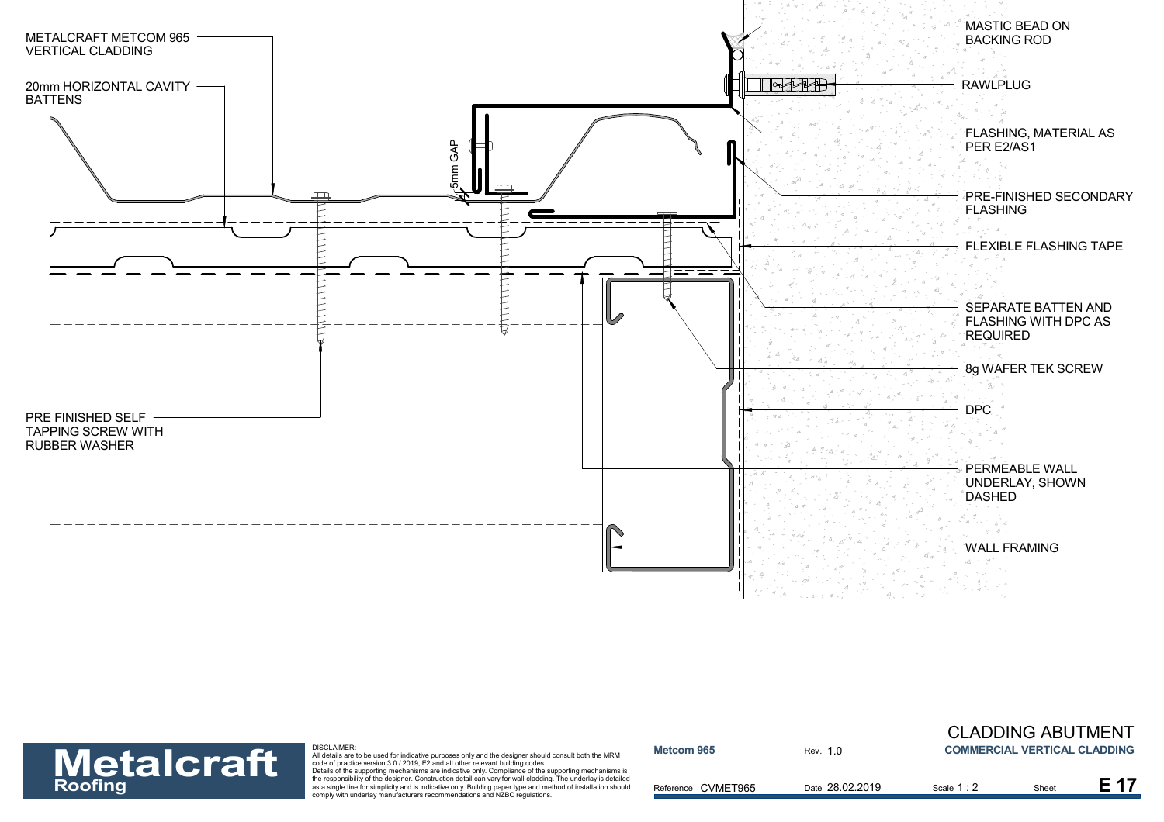



| <b>Metalcraft</b> | <b>DISCLAIMER:</b><br>All details are to be used for indicative purposes only and the designer should consult both the MRM<br>code of practice version 3.0 / 2019. E2 and all other relevant building codes<br>Details of the supporting mechanisms are indicative only. Compliance of the supporting mechanisms is | Metcom 965         | Rev. 1.0        | <b>COMMERCIAL VERTICAL CLADDING</b> |       |  |
|-------------------|---------------------------------------------------------------------------------------------------------------------------------------------------------------------------------------------------------------------------------------------------------------------------------------------------------------------|--------------------|-----------------|-------------------------------------|-------|--|
| <b>Roofing</b>    | the responsibility of the designer. Construction detail can vary for wall cladding. The underlay is detailed<br>as a single line for simplicity and is indicative only. Building paper type and method of installation should<br>comply with underlay manufacturers recommendations and NZBC regulations.           | Reference CVMET965 | Date 28.02.2019 | Scale 1:2                           | Sheet |  |

CLADDING ABUTMENT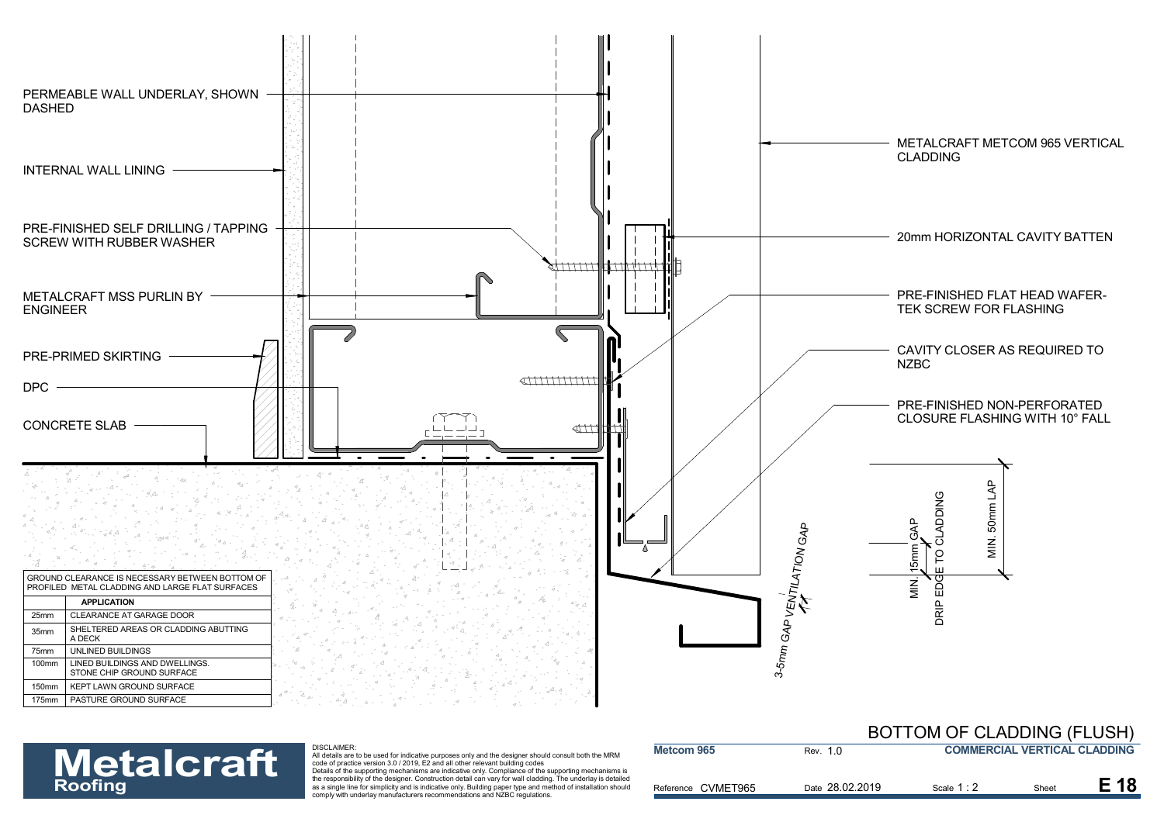

**Metcom 965**

**Metalcraft** 

### DISCLAIMER:

| <b>BOTTOM OF CLADDING (FLUSH)</b>   |
|-------------------------------------|
| <b>COMMERCIAL VERTICAL CLADDING</b> |

| <b>Metalcraft</b> | <b>DISCLAIMER</b><br>All details are to be used for indicative purposes only and the designer should consult both the MRM<br>code of practice version 3.0 / 2019. E2 and all other relevant building codes<br>Details of the supporting mechanisms are indicative only. Compliance of the supporting mechanisms is | Metcom 965         | Rev. 1.0        |             | <b>COMMERCIAL VERTICAL CLADDING</b> |  |
|-------------------|--------------------------------------------------------------------------------------------------------------------------------------------------------------------------------------------------------------------------------------------------------------------------------------------------------------------|--------------------|-----------------|-------------|-------------------------------------|--|
| <b>Roofing</b>    | the responsibility of the designer. Construction detail can vary for wall cladding. The underlay is detailed<br>as a single line for simplicity and is indicative only. Building paper type and method of installation should<br>comply with underlay manufacturers recommendations and NZBC regulations.          | Reference CVMET965 | Date 28.02.2019 | Scale 1 : 2 | Sheet                               |  |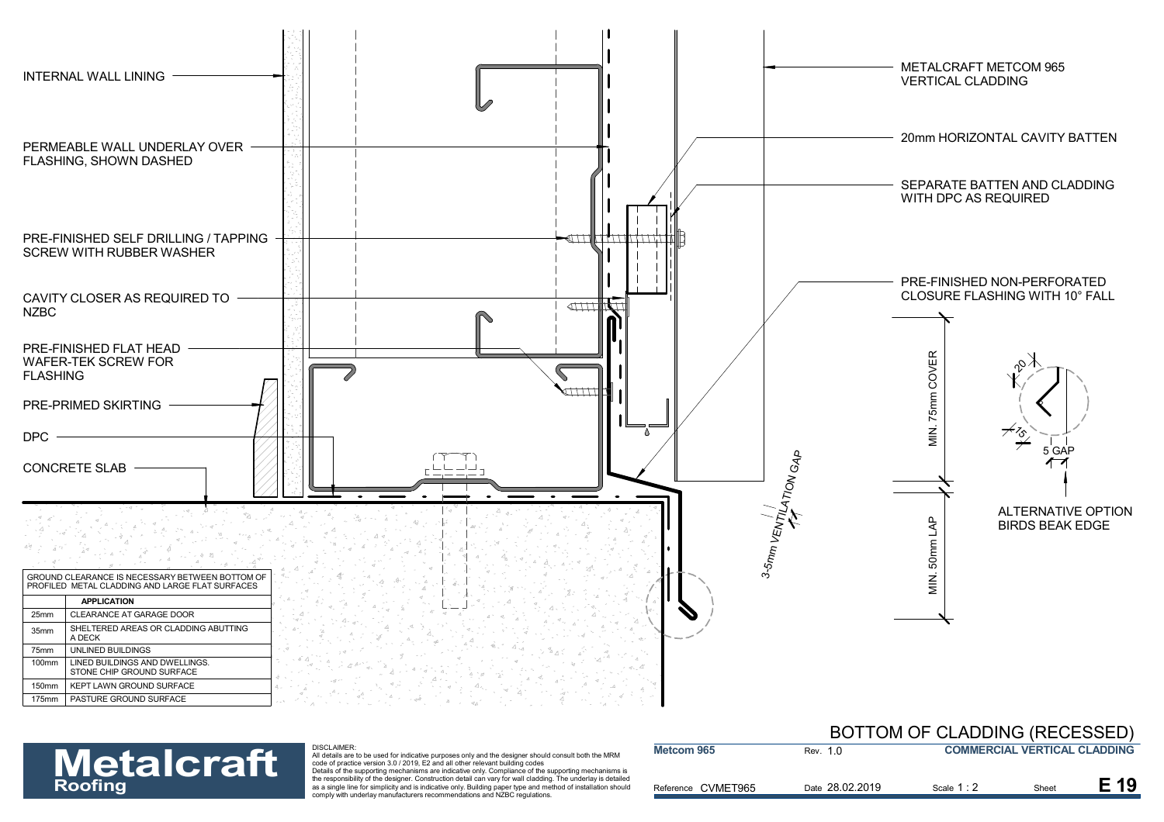

### DISCLAIMER:

| <b>Metalcraft</b> | <b>DISCLAIMER:</b><br>All details are to be used for indicative purposes only and the designer should consult both the MRM<br>code of practice version 3.0 / 2019. E2 and all other relevant building codes                                                                                                                                                                                                       | Metcom 965            | Rev. 1 0        | <b>COMMERCIAL VERTICAL CLADDING</b> |       |      |
|-------------------|-------------------------------------------------------------------------------------------------------------------------------------------------------------------------------------------------------------------------------------------------------------------------------------------------------------------------------------------------------------------------------------------------------------------|-----------------------|-----------------|-------------------------------------|-------|------|
| <b>Roofing</b>    | Details of the supporting mechanisms are indicative only. Compliance of the supporting mechanisms is<br>the responsibility of the designer. Construction detail can vary for wall cladding. The underlay is detailed<br>as a single line for simplicity and is indicative only. Building paper type and method of installation should<br>comply with underlay manufacturers recommendations and NZBC regulations. | CVMET965<br>Reference | Date 28.02.2019 | Scale 1 : 2                         | Sheet | E 19 |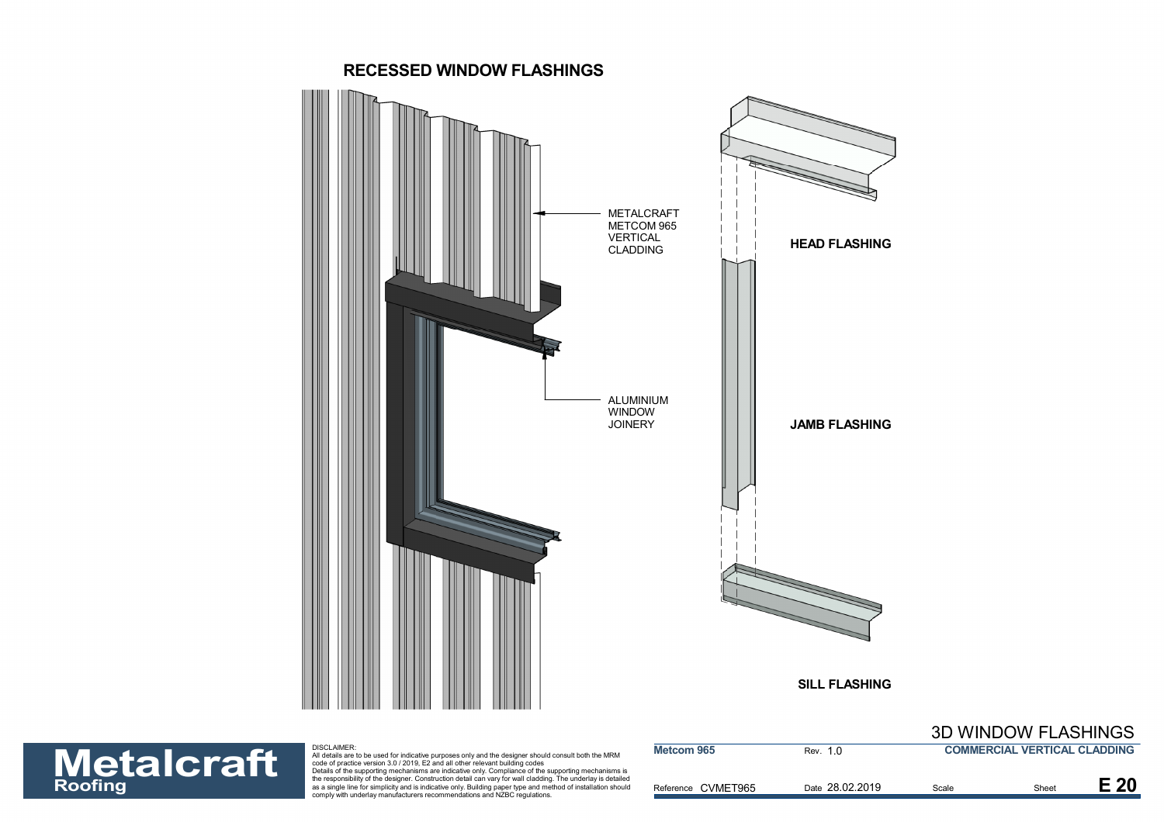



| <b>Metalcraft</b> | DISCLAIMER:<br>All details are to be used for indicative purposes only and the designer should consult both the MRM<br>code of practice version 3.0 / 2019. E2 and all other relevant building codes<br>Details of the supporting mechanisms are indicative only. Compliance of the supporting mechanisms is | Metcom 965         | Rev. 1.0        |       | <b>COMMERCIAL VERTICAL CLADDING</b> |      |
|-------------------|--------------------------------------------------------------------------------------------------------------------------------------------------------------------------------------------------------------------------------------------------------------------------------------------------------------|--------------------|-----------------|-------|-------------------------------------|------|
| <b>Roofing</b>    | the responsibility of the designer. Construction detail can vary for wall cladding. The underlay is detailed<br>as a single line for simplicity and is indicative only. Building paper type and method of installation should<br>comply with underlay manufacturers recommendations and NZBC regulations.    | Reference CVMET965 | Date 28.02.2019 | Scale | Sheet                               | E 20 |

## 3D WINDOW FLASHINGS